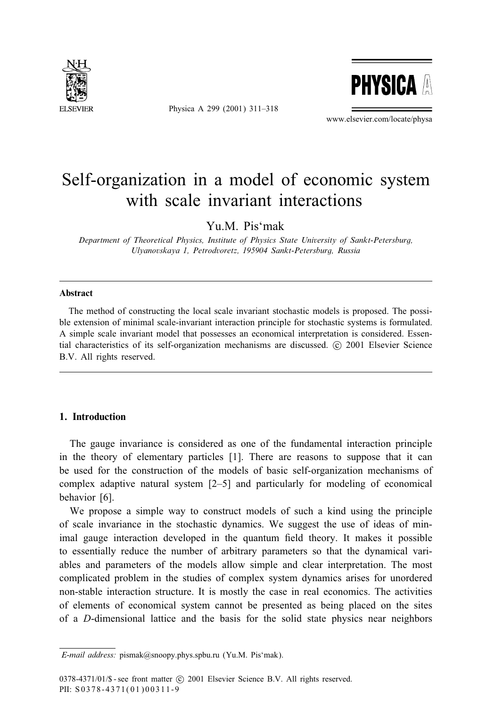

Physica A 299 (2001) 311–318



www.elsevier.com/locate/physa

## Self-organization in a model of economic system with scale invariant interactions

Yu.M. Pis'mak

*Department of Theoretical Physics, Institute of Physics State University of Sankt-Petersburg, Ulyanovskaya 1, Petrodvoretz, 195904 Sankt-Petersburg, Russia*

#### Abstract

The method of constructing the local scale invariant stochastic models is proposed. The possible extension of minimal scale-invariant interaction principle for stochastic systems is formulated. A simple scale invariant model that possesses an economical interpretation is considered. Essential characteristics of its self-organization mechanisms are discussed.  $\odot$  2001 Elsevier Science B.V. All rights reserved.

### 1. Introduction

The gauge invariance is considered as one of the fundamental interaction principle in the theory of elementary particles [1]. There are reasons to suppose that it can be used for the construction of the models of basic self-organization mechanisms of complex adaptive natural system  $[2-5]$  and particularly for modeling of economical behavior [6].

We propose a simple way to construct models of such a kind using the principle of scale invariance in the stochastic dynamics. We suggest the use of ideas of minimal gauge interaction developed in the quantum 5eld theory. It makes it possible to essentially reduce the number of arbitrary parameters so that the dynamical variables and parameters of the models allow simple and clear interpretation. The most complicated problem in the studies of complex system dynamics arises for unordered non-stable interaction structure. It is mostly the case in real economics. The activities of elements of economical system cannot be presented as being placed on the sites of a D-dimensional lattice and the basis for the solid state physics near neighbors

*E-mail address:* pismak@snoopy.phys.spbu.ru (Yu.M. Pis'mak).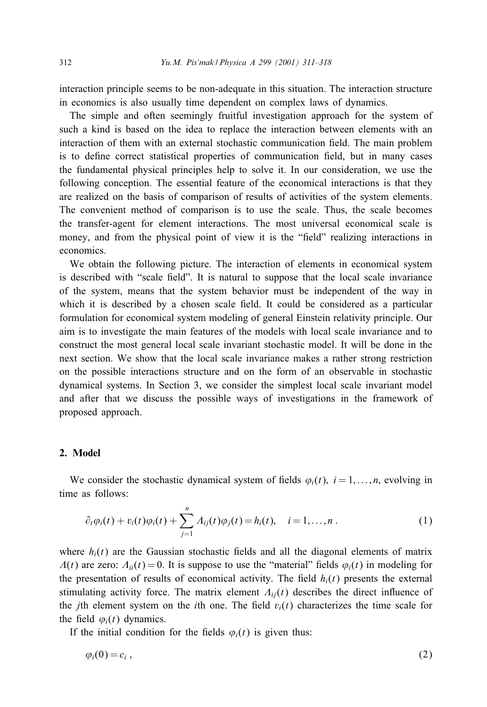interaction principle seems to be non-adequate in this situation. The interaction structure in economics is also usually time dependent on complex laws of dynamics.

The simple and often seemingly fruitful investigation approach for the system of such a kind is based on the idea to replace the interaction between elements with an interaction of them with an external stochastic communication 5eld. The main problem is to define correct statistical properties of communication field, but in many cases the fundamental physical principles help to solve it. In our consideration, we use the following conception. The essential feature of the economical interactions is that they are realized on the basis of comparison of results of activities of the system elements. The convenient method of comparison is to use the scale. Thus, the scale becomes the transfer-agent for element interactions. The most universal economical scale is money, and from the physical point of view it is the "field" realizing interactions in economics.

We obtain the following picture. The interaction of elements in economical system is described with "scale field". It is natural to suppose that the local scale invariance of the system, means that the system behavior must be independent of the way in which it is described by a chosen scale field. It could be considered as a particular formulation for economical system modeling of general Einstein relativity principle. Our aim is to investigate the main features of the models with local scale invariance and to construct the most general local scale invariant stochastic model. It will be done in the next section. We show that the local scale invariance makes a rather strongrestriction on the possible interactions structure and on the form of an observable in stochastic dynamical systems. In Section 3, we consider the simplest local scale invariant model and after that we discuss the possible ways of investigations in the framework of proposed approach.

#### 2. Model

We consider the stochastic dynamical system of fields  $\varphi_i(t)$ ,  $i = 1, \dots, n$ , evolving in time as follows:

$$
\partial_t \varphi_i(t) + v_i(t) \varphi_i(t) + \sum_{j=1}^n A_{ij}(t) \varphi_j(t) = h_i(t), \quad i = 1, ..., n. \tag{1}
$$

where  $h_i(t)$  are the Gaussian stochastic fields and all the diagonal elements of matrix  $\Lambda(t)$  are zero:  $\Lambda_{ii}(t) = 0$ . It is suppose to use the "material" fields  $\varphi_i(t)$  in modeling for the presentation of results of economical activity. The field  $h_i(t)$  presents the external stimulating activity force. The matrix element  $\Lambda_{ij}(t)$  describes the direct influence of the *j*th element system on the *i*th one. The field  $v<sub>i</sub>(t)$  characterizes the time scale for the field  $\varphi_i(t)$  dynamics.

If the initial condition for the fields  $\varphi_i(t)$  is given thus:

$$
\varphi_i(0) = c_i \,, \tag{2}
$$